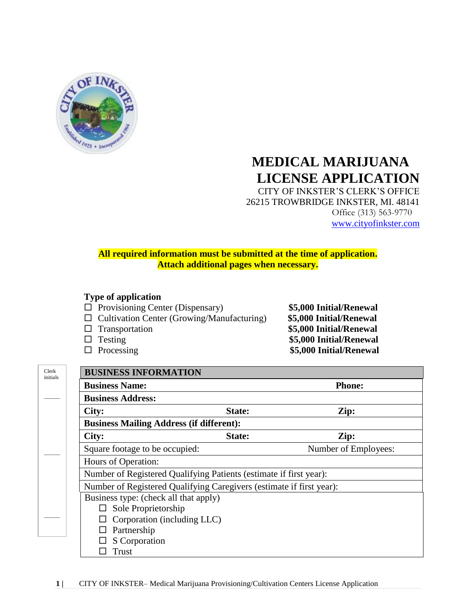

# **MEDICAL MARIJUANA LICENSE APPLICATION**

CITY OF INKSTER'S CLERK'S OFFICE 26215 TROWBRIDGE INKSTER, MI. 48141 Office (313) 563-9770 [www.cityofinkster.com](http://www.cityofinkster.com/)

#### **All required information must be submitted at the time of application. Attach additional pages when necessary.**

#### **Type of application**

- Provisioning Center (Dispensary) **\$5,000 Initial/Renewal**
- Cultivation Center (Growing/Manufacturing) **\$5,000 Initial/Renewal**
- 
- 
- 

 Transportation **\$5,000 Initial/Renewal** Testing **\$5,000 Initial/Renewal** Processing **\$5,000 Initial/Renewal**

| Clerk    |
|----------|
| initials |

 $\overline{\phantom{a}}$ 

 $\overline{\phantom{a}}$ 

 $\overline{\phantom{a}}$ 

| <b>Business Name:</b>                                                |        | <b>Phone:</b>        |  |
|----------------------------------------------------------------------|--------|----------------------|--|
| <b>Business Address:</b>                                             |        |                      |  |
| City:                                                                | State: | Zip:                 |  |
| <b>Business Mailing Address (if different):</b>                      |        |                      |  |
| City:                                                                | State: | Zip:                 |  |
| Square footage to be occupied:                                       |        | Number of Employees: |  |
| Hours of Operation:                                                  |        |                      |  |
| Number of Registered Qualifying Patients (estimate if first year):   |        |                      |  |
| Number of Registered Qualifying Caregivers (estimate if first year): |        |                      |  |
| Business type: (check all that apply)                                |        |                      |  |
| $\Box$ Sole Proprietorship                                           |        |                      |  |
| Corporation (including LLC)                                          |        |                      |  |
| Partnership                                                          |        |                      |  |
| S Corporation                                                        |        |                      |  |
| Trust                                                                |        |                      |  |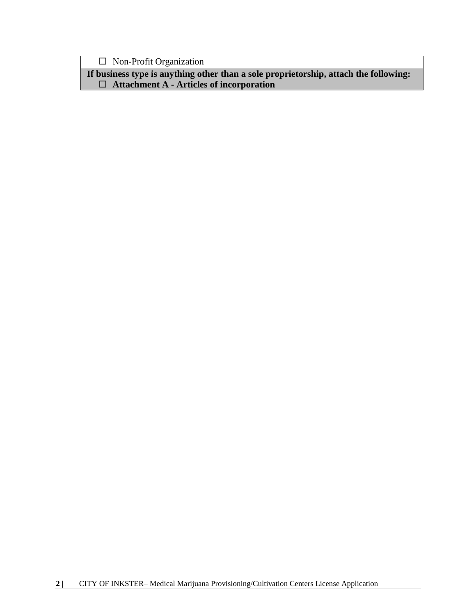Non-Profit Organization

**If business type is anything other than a sole proprietorship, attach the following: Attachment A - Articles of incorporation**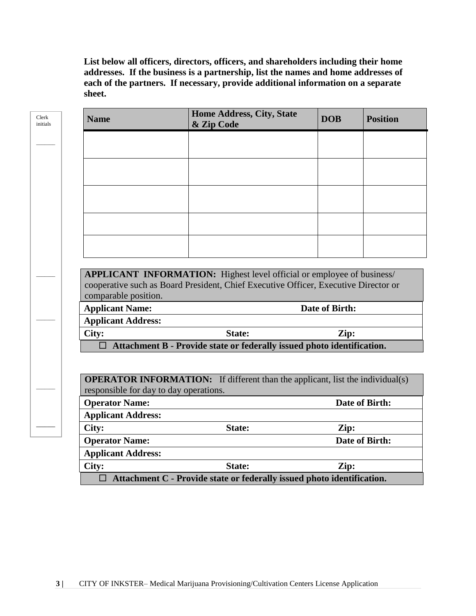**List below all officers, directors, officers, and shareholders including their home addresses. If the business is a partnership, list the names and home addresses of each of the partners. If necessary, provide additional information on a separate sheet.**

| <b>Name</b>                            | <b>Home Address, City, State</b><br>& Zip Code                                                                                                                       | <b>DOB</b>     | <b>Position</b> |
|----------------------------------------|----------------------------------------------------------------------------------------------------------------------------------------------------------------------|----------------|-----------------|
|                                        |                                                                                                                                                                      |                |                 |
|                                        |                                                                                                                                                                      |                |                 |
|                                        |                                                                                                                                                                      |                |                 |
|                                        |                                                                                                                                                                      |                |                 |
|                                        |                                                                                                                                                                      |                |                 |
|                                        |                                                                                                                                                                      |                |                 |
| comparable position.                   | <b>APPLICANT INFORMATION:</b> Highest level official or employee of business/<br>cooperative such as Board President, Chief Executive Officer, Executive Director or |                |                 |
| <b>Applicant Name:</b>                 |                                                                                                                                                                      | Date of Birth: |                 |
| <b>Applicant Address:</b>              |                                                                                                                                                                      |                |                 |
| City:                                  | State:<br>$\Box$ Attachment B - Provide state or federally issued photo identification.                                                                              | Zip:           |                 |
| responsible for day to day operations. | <b>OPERATOR INFORMATION:</b> If different than the applicant, list the individual(s)                                                                                 |                |                 |
| <b>Operator Name:</b>                  |                                                                                                                                                                      |                | Date of Birth:  |
| <b>Applicant Address:</b>              |                                                                                                                                                                      |                |                 |
| City:                                  | State:                                                                                                                                                               | Zip:           |                 |
| <b>Operator Name:</b>                  |                                                                                                                                                                      |                | Date of Birth:  |
| <b>Applicant Address:</b>              |                                                                                                                                                                      |                |                 |
|                                        |                                                                                                                                                                      |                |                 |
| City:                                  | State:<br>$\Box$ Attachment C - Provide state or federally issued photo identification.                                                                              | Zip:           |                 |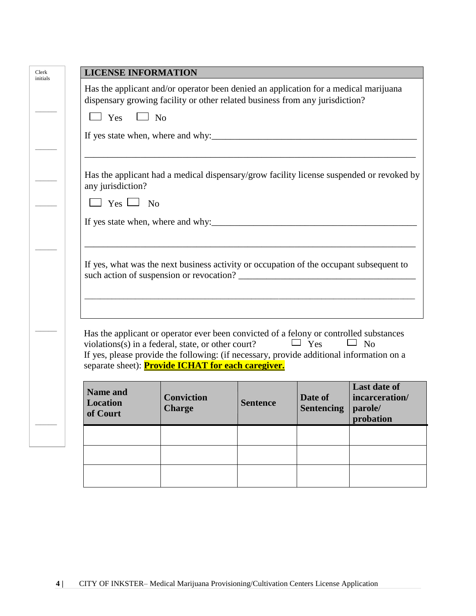|                                                | Has the applicant and/or operator been denied an application for a medical marijuana<br>dispensary growing facility or other related business from any jurisdiction?                                                                                                                                  |                                                                                         |                              |                                             |
|------------------------------------------------|-------------------------------------------------------------------------------------------------------------------------------------------------------------------------------------------------------------------------------------------------------------------------------------------------------|-----------------------------------------------------------------------------------------|------------------------------|---------------------------------------------|
| $\Box$ Yes $\Box$ No                           |                                                                                                                                                                                                                                                                                                       |                                                                                         |                              |                                             |
|                                                | If yes state when, where and why:                                                                                                                                                                                                                                                                     |                                                                                         |                              |                                             |
| any jurisdiction?                              | Has the applicant had a medical dispensary/grow facility license suspended or revoked by                                                                                                                                                                                                              |                                                                                         |                              |                                             |
| $\Box$ Yes $\Box$ No                           |                                                                                                                                                                                                                                                                                                       |                                                                                         |                              |                                             |
|                                                |                                                                                                                                                                                                                                                                                                       |                                                                                         |                              |                                             |
|                                                |                                                                                                                                                                                                                                                                                                       |                                                                                         |                              |                                             |
|                                                |                                                                                                                                                                                                                                                                                                       |                                                                                         |                              |                                             |
|                                                |                                                                                                                                                                                                                                                                                                       | If yes, what was the next business activity or occupation of the occupant subsequent to |                              |                                             |
|                                                | Has the applicant or operator ever been convicted of a felony or controlled substances<br>violations(s) in a federal, state, or other court?<br>If yes, please provide the following: (if necessary, provide additional information on a<br>separate sheet): <b>Provide ICHAT for each caregiver.</b> |                                                                                         | $\Box$ Yes                   | $\Box$ No                                   |
| <b>Name and</b><br><b>Location</b><br>of Court | <b>Conviction</b><br>Charge                                                                                                                                                                                                                                                                           | <b>Sentence</b>                                                                         | Date of<br><b>Sentencing</b> | <b>Last date of</b><br>parole/<br>probation |
|                                                |                                                                                                                                                                                                                                                                                                       |                                                                                         |                              |                                             |
|                                                |                                                                                                                                                                                                                                                                                                       |                                                                                         |                              | incarceration/                              |
|                                                |                                                                                                                                                                                                                                                                                                       |                                                                                         |                              |                                             |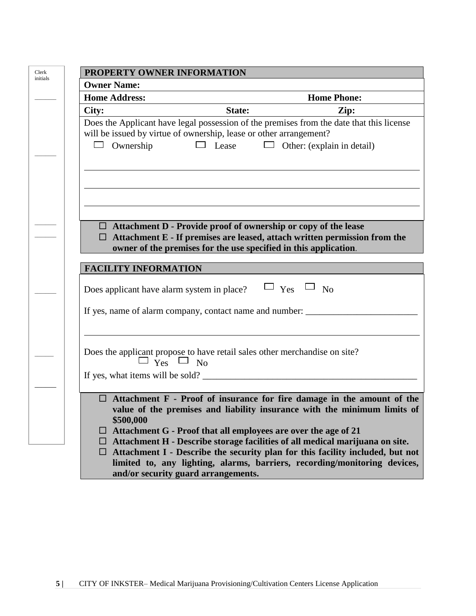| PROPERTY OWNER INFORMATION                 |                                                                                                                                                                                                                        |
|--------------------------------------------|------------------------------------------------------------------------------------------------------------------------------------------------------------------------------------------------------------------------|
| <b>Owner Name:</b>                         |                                                                                                                                                                                                                        |
| <b>Home Address:</b>                       | <b>Home Phone:</b>                                                                                                                                                                                                     |
| City:                                      | State:<br>Zip:                                                                                                                                                                                                         |
|                                            | Does the Applicant have legal possession of the premises from the date that this license<br>will be issued by virtue of ownership, lease or other arrangement?                                                         |
| Ownership                                  | $\Box$ Lease<br>Other: (explain in detail)                                                                                                                                                                             |
|                                            |                                                                                                                                                                                                                        |
|                                            |                                                                                                                                                                                                                        |
| □.                                         | $\Box$ Attachment D - Provide proof of ownership or copy of the lease<br>Attachment E - If premises are leased, attach written permission from the<br>owner of the premises for the use specified in this application. |
| <b>FACILITY INFORMATION</b>                |                                                                                                                                                                                                                        |
| Does applicant have alarm system in place? | $\sqcup$ Yes $\sqcup$ No                                                                                                                                                                                               |
|                                            | If yes, name of alarm company, contact name and number: __________                                                                                                                                                     |
|                                            |                                                                                                                                                                                                                        |
|                                            | Does the applicant propose to have retail sales other merchandise on site?<br>$\Box$ Yes $\Box$ No                                                                                                                     |
|                                            |                                                                                                                                                                                                                        |
| ш                                          | Attachment F - Proof of insurance for fire damage in the amount of the<br>value of the premises and liability insurance with the minimum limits of                                                                     |
| \$500,000                                  | $\Box$ Attachment G - Proof that all employees are over the age of 21                                                                                                                                                  |
| ⊔.                                         | Attachment H - Describe storage facilities of all medical marijuana on site.                                                                                                                                           |
|                                            | $\Box$ Attachment I - Describe the security plan for this facility included, but not<br>limited to, any lighting, alarms, barriers, recording/monitoring devices,                                                      |
|                                            | and/or security guard arrangements.                                                                                                                                                                                    |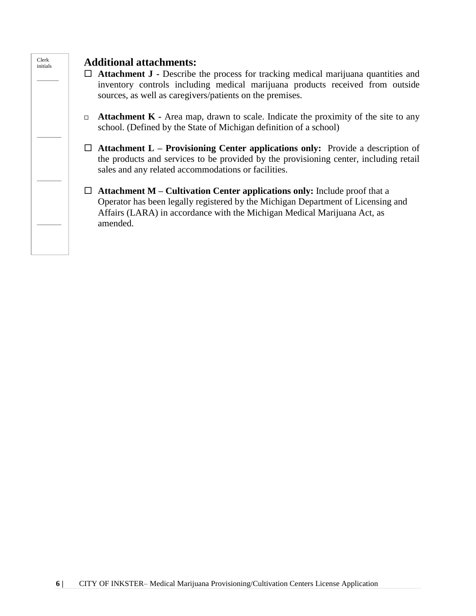

### **Additional attachments:**

- **Attachment J -** Describe the process for tracking medical marijuana quantities and inventory controls including medical marijuana products received from outside sources, as well as caregivers/patients on the premises.
- **Attachment K -** Area map, drawn to scale. Indicate the proximity of the site to any school. (Defined by the State of Michigan definition of a school)
- **Attachment L – Provisioning Center applications only:** Provide a description of the products and services to be provided by the provisioning center, including retail sales and any related accommodations or facilities.
- **Attachment M – Cultivation Center applications only:** Include proof that a Operator has been legally registered by the Michigan Department of Licensing and Affairs (LARA) in accordance with the Michigan Medical Marijuana Act, as amended.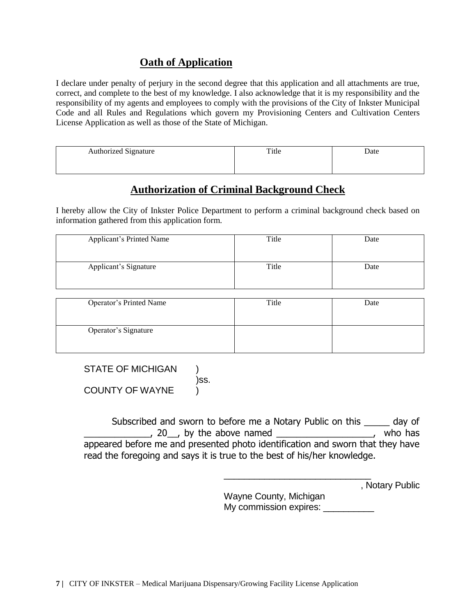#### **Oath of Application**

I declare under penalty of perjury in the second degree that this application and all attachments are true, correct, and complete to the best of my knowledge. I also acknowledge that it is my responsibility and the responsibility of my agents and employees to comply with the provisions of the City of Inkster Municipal Code and all Rules and Regulations which govern my Provisioning Centers and Cultivation Centers License Application as well as those of the State of Michigan.

| <b>Authorized Signature</b> | Title | Date |
|-----------------------------|-------|------|
|                             |       |      |

### **Authorization of Criminal Background Check**

I hereby allow the City of Inkster Police Department to perform a criminal background check based on information gathered from this application form.

| <b>Applicant's Printed Name</b> | Title | Date |
|---------------------------------|-------|------|
| Applicant's Signature           | Title | Date |

| Operator's Printed Name | Title | Date |
|-------------------------|-------|------|
| Operator's Signature    |       |      |

STATE OF MICHIGAN ) )ss. COUNTY OF WAYNE

Subscribed and sworn to before me a Notary Public on this \_\_\_\_\_ day of  $\frac{1}{20}$ , 20, by the above named  $\frac{1}{20}$ , who has appeared before me and presented photo identification and sworn that they have read the foregoing and says it is true to the best of his/her knowledge.

| , Notary Public |
|-----------------|

Wayne County, Michigan My commission expires: \_\_\_\_\_\_\_\_\_\_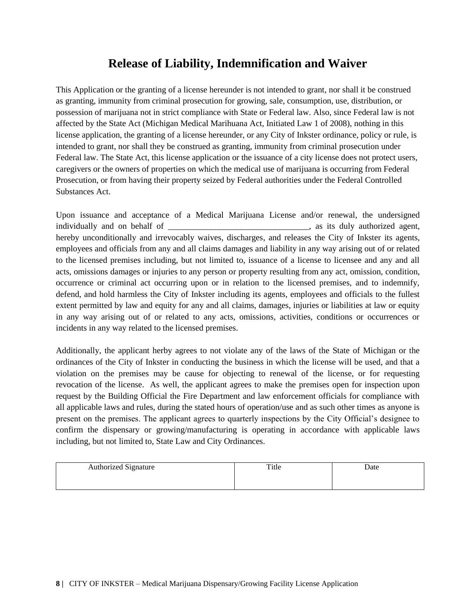## **Release of Liability, Indemnification and Waiver**

This Application or the granting of a license hereunder is not intended to grant, nor shall it be construed as granting, immunity from criminal prosecution for growing, sale, consumption, use, distribution, or possession of marijuana not in strict compliance with State or Federal law. Also, since Federal law is not affected by the State Act (Michigan Medical Marihuana Act, Initiated Law 1 of 2008), nothing in this license application, the granting of a license hereunder, or any City of Inkster ordinance, policy or rule, is intended to grant, nor shall they be construed as granting, immunity from criminal prosecution under Federal law. The State Act, this license application or the issuance of a city license does not protect users, caregivers or the owners of properties on which the medical use of marijuana is occurring from Federal Prosecution, or from having their property seized by Federal authorities under the Federal Controlled Substances Act.

Upon issuance and acceptance of a Medical Marijuana License and/or renewal, the undersigned individually and on behalf of \_\_\_\_\_\_\_\_\_\_\_\_\_\_\_\_\_\_\_\_\_\_\_\_\_\_\_\_\_\_, as its duly authorized agent, hereby unconditionally and irrevocably waives, discharges, and releases the City of Inkster its agents, employees and officials from any and all claims damages and liability in any way arising out of or related to the licensed premises including, but not limited to, issuance of a license to licensee and any and all acts, omissions damages or injuries to any person or property resulting from any act, omission, condition, occurrence or criminal act occurring upon or in relation to the licensed premises, and to indemnify, defend, and hold harmless the City of Inkster including its agents, employees and officials to the fullest extent permitted by law and equity for any and all claims, damages, injuries or liabilities at law or equity in any way arising out of or related to any acts, omissions, activities, conditions or occurrences or incidents in any way related to the licensed premises.

Additionally, the applicant herby agrees to not violate any of the laws of the State of Michigan or the ordinances of the City of Inkster in conducting the business in which the license will be used, and that a violation on the premises may be cause for objecting to renewal of the license, or for requesting revocation of the license. As well, the applicant agrees to make the premises open for inspection upon request by the Building Official the Fire Department and law enforcement officials for compliance with all applicable laws and rules, during the stated hours of operation/use and as such other times as anyone is present on the premises. The applicant agrees to quarterly inspections by the City Official's designee to confirm the dispensary or growing/manufacturing is operating in accordance with applicable laws including, but not limited to, State Law and City Ordinances.

| <b>Authorized Signature</b> | Title | Date |
|-----------------------------|-------|------|
|                             |       |      |